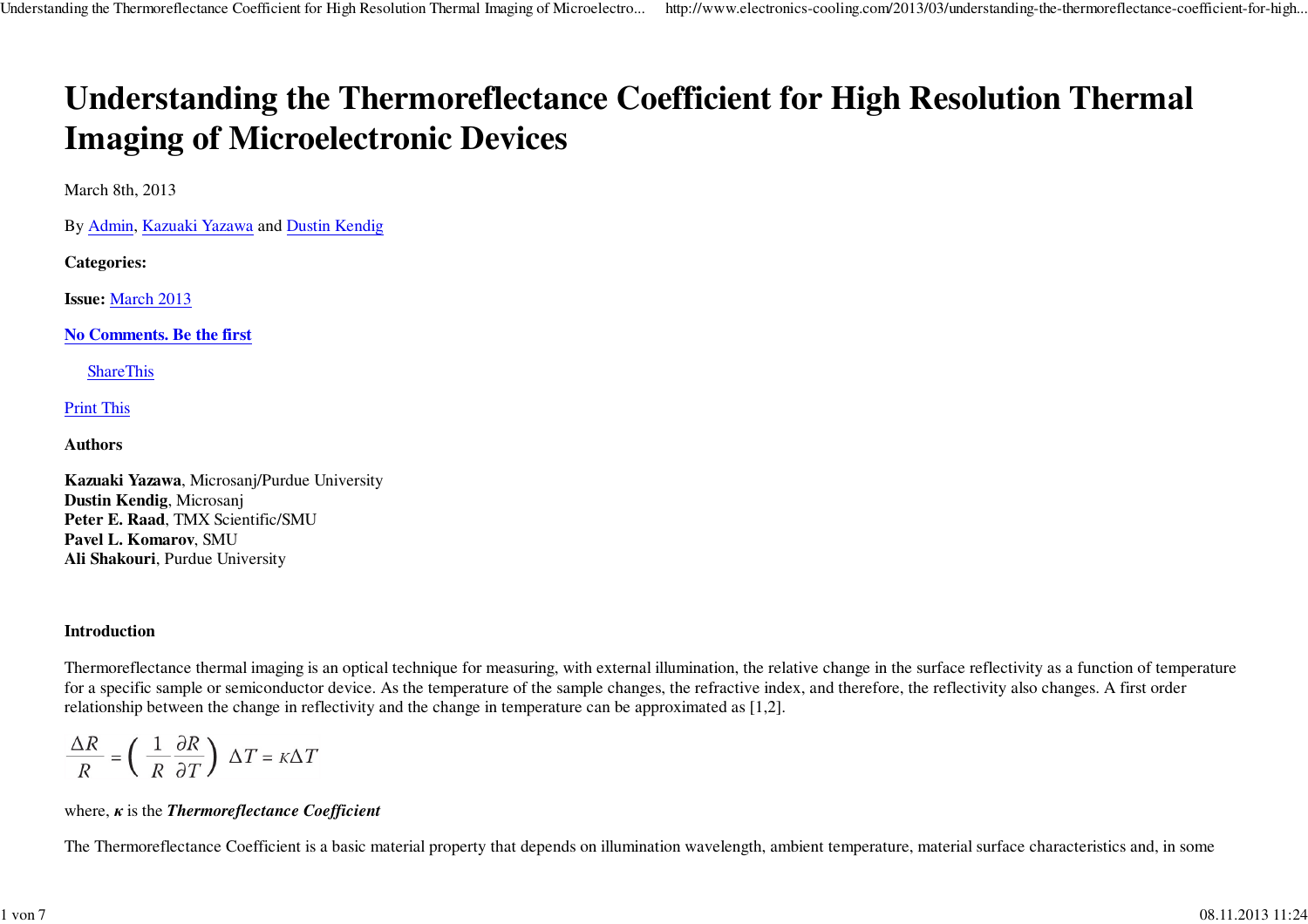# **Understanding the Thermoreflectance Coefficient for High Resolution ThermalImaging of Microelectronic Devices**

March 8th, 2013

By Admin, Kazuaki Yazawa and Dustin Kendig

**Categories:**

**Issue:** March 2013

**No Comments. Be the first**

**ShareThis** 

Print This

**Authors**

**Kazuaki Yazawa**, Microsanj/Purdue University**Dustin Kendig**, Microsanj **Peter E. Raad**, TMX Scientific/SMU**Pavel L. Komarov**, SMU**Ali Shakouri**, Purdue University

# **Introduction**

Thermoreflectance thermal imaging is an optical technique for measuring, with external illumination, the relative change in the surface reflectivity as a function of temperaturefor a specific sample or semiconductor device. As the temperature of the sample changes, the refractive index, and therefore, the reflectivity also changes. A first orderrelationship between the change in reflectivity and the change in temperature can be approximated as [1,2].

$$
\frac{\Delta R}{R} = \left(\frac{1}{R}\frac{\partial R}{\partial T}\right) \Delta T = \kappa \Delta T
$$

# where, *κ* is the *Thermoreflectance Coefficient*

The Thermoreflectance Coefficient is a basic material property that depends on illumination wavelength, ambient temperature, material surface characteristics and, in some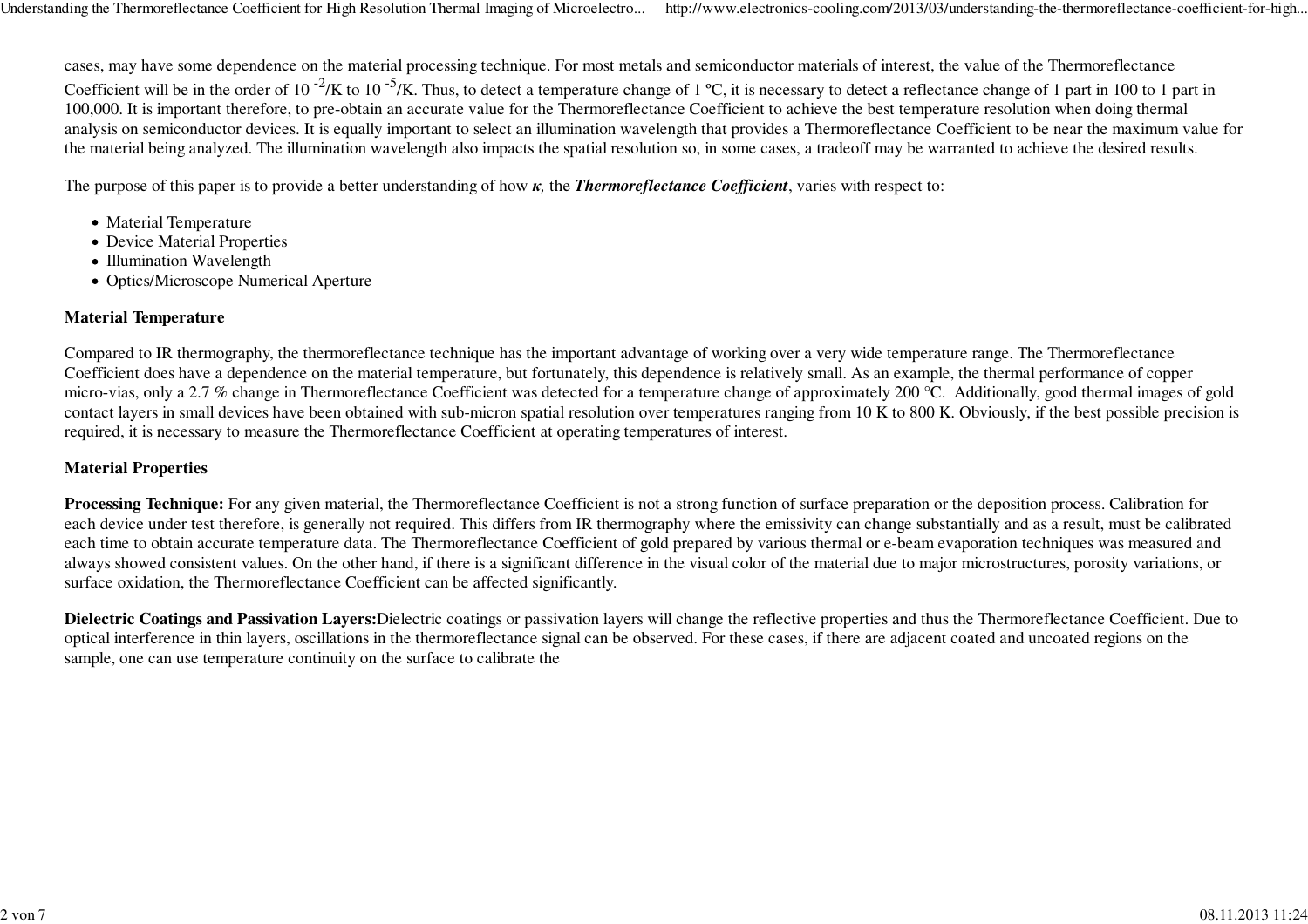cases, may have some dependence on the material processing technique. For most metals and semiconductor materials of interest, the value of the ThermoreflectanceCoefficient will be in the order of 10<sup>-2</sup>/K to 10<sup>-5</sup>/K. Thus, to detect a temperature change of 1 °C, it is necessary to detect a reflectance change of 1 part in 100 to 1 part in 100,000. It is important therefore, to pre-obtain an accurate value for the Thermoreflectance Coefficient to achieve the best temperature resolution when doing thermal analysis on semiconductor devices. It is equally important to select an illumination wavelength that provides a Thermoreflectance Coefficient to be near the maximum value forthe material being analyzed. The illumination wavelength also impacts the spatial resolution so, in some cases, a tradeoff may be warranted to achieve the desired results.

The purpose of this paper is to provide a better understanding of how *<sup>κ</sup>,* the *Thermoreflectance Coefficient*, varies with respect to:

- Material Temperature
- Device Material Properties
- Illumination Wavelength
- Optics/Microscope Numerical Aperture

#### **Material Temperature**

Compared to IR thermography, the thermoreflectance technique has the important advantage of working over a very wide temperature range. The Thermoreflectance Coefficient does have a dependence on the material temperature, but fortunately, this dependence is relatively small. As an example, the thermal performance of coppermicro-vias, only a 2.7 % change in Thermoreflectance Coefficient was detected for a temperature change of approximately 200 °C. Additionally, good thermal images of gold contact layers in small devices have been obtained with sub-micron spatial resolution over temperatures ranging from 10 K to 800 K. Obviously, if the best possible precision isrequired, it is necessary to measure the Thermoreflectance Coefficient at operating temperatures of interest.

# **Material Properties**

**Processing Technique:** For any given material, the Thermoreflectance Coefficient is not a strong function of surface preparation or the deposition process. Calibration for each device under test therefore, is generally not required. This differs from IR thermography where the emissivity can change substantially and as a result, must be calibrated each time to obtain accurate temperature data. The Thermoreflectance Coefficient of gold prepared by various thermal or e-beam evaporation techniques was measured and always showed consistent values. On the other hand, if there is a significant difference in the visual color of the material due to major microstructures, porosity variations, orsurface oxidation, the Thermoreflectance Coefficient can be affected significantly.

**Dielectric Coatings and Passivation Layers:**Dielectric coatings or passivation layers will change the reflective properties and thus the Thermoreflectance Coefficient. Due tooptical interference in thin layers, oscillations in the thermoreflectance signal can be observed. For these cases, if there are adjacent coated and uncoated regions on thesample, one can use temperature continuity on the surface to calibrate the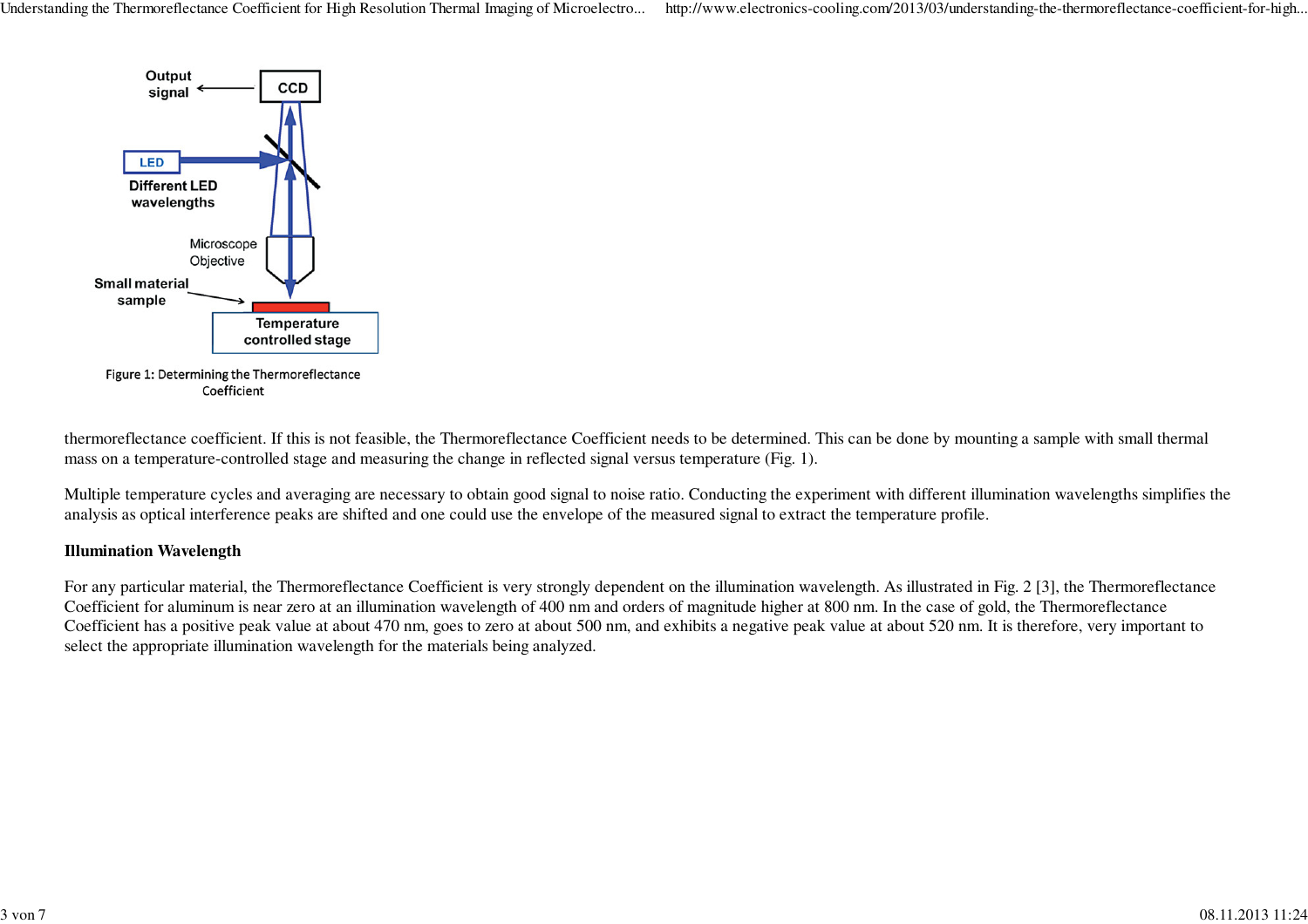Understanding the Thermoreflectance Coefficient for High Resolution Thermal Imaging of Microelectro... http://www.electronics-cooling.com/2013/03/understanding-the-thermoreflectance-coefficient-for-high...



thermoreflectance coefficient. If this is not feasible, the Thermoreflectance Coefficient needs to be determined. This can be done by mounting a sample with small thermalmass on a temperature-controlled stage and measuring the change in reflected signal versus temperature (Fig. 1).

Multiple temperature cycles and averaging are necessary to obtain good signal to noise ratio. Conducting the experiment with different illumination wavelengths simplifies theanalysis as optical interference peaks are shifted and one could use the envelope of the measured signal to extract the temperature profile.

#### **Illumination Wavelength**

For any particular material, the Thermoreflectance Coefficient is very strongly dependent on the illumination wavelength. As illustrated in Fig. 2 [3], the ThermoreflectanceCoefficient for aluminum is near zero at an illumination wavelength of 400 nm and orders of magnitude higher at 800 nm. In the case of gold, the Thermoreflectance Coefficient has a positive peak value at about 470 nm, goes to zero at about 500 nm, and exhibits a negative peak value at about 520 nm. It is therefore, very important toselect the appropriate illumination wavelength for the materials being analyzed.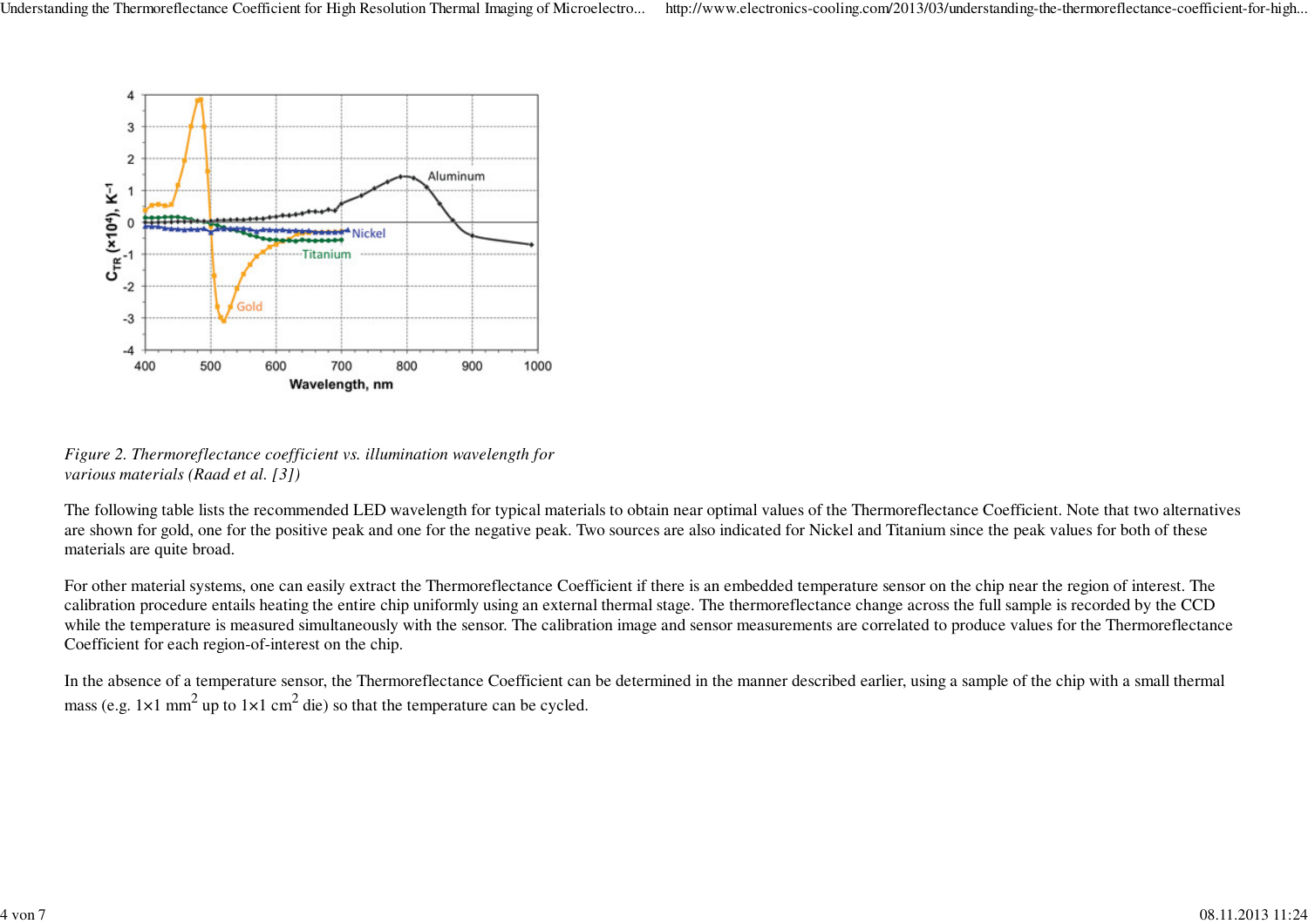

*Figure 2. Thermoreflectance coefficient vs. illumination wavelength forvarious materials (Raad et al. [3])*

The following table lists the recommended LED wavelength for typical materials to obtain near optimal values of the Thermoreflectance Coefficient. Note that two alternativesare shown for gold, one for the positive peak and one for the negative peak. Two sources are also indicated for Nickel and Titanium since the peak values for both of thesematerials are quite broad.

For other material systems, one can easily extract the Thermoreflectance Coefficient if there is an embedded temperature sensor on the chip near the region of interest. The calibration procedure entails heating the entire chip uniformly using an external thermal stage. The thermoreflectance change across the full sample is recorded by the CCD while the temperature is measured simultaneously with the sensor. The calibration image and sensor measurements are correlated to produce values for the ThermoreflectanceCoefficient for each region-of-interest on the chip.

In the absence of a temperature sensor, the Thermoreflectance Coefficient can be determined in the manner described earlier, using a sample of the chip with a small thermalmass (e.g. 1×1 mm<sup>2</sup> up to 1×1 cm<sup>2</sup> die) so that the temperature can be cycled.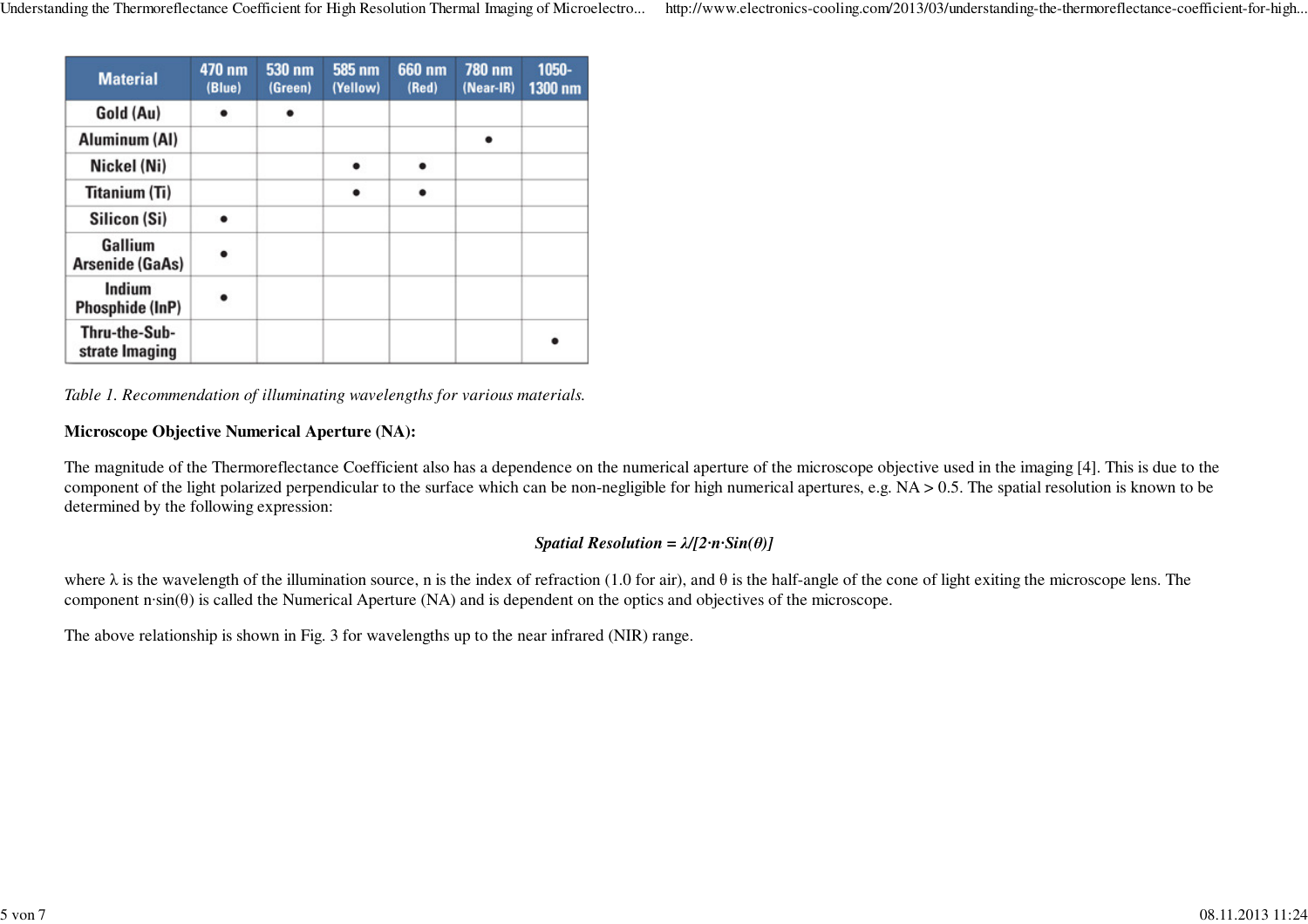| <b>Material</b>                 | 470 nm<br>(Blue) | 530 nm<br>(Green) | 585 nm<br>(Yellow) | 660 nm<br>(Red) | 780 nm<br>$(Near-IR)$ | 1050-<br>1300 nm |
|---------------------------------|------------------|-------------------|--------------------|-----------------|-----------------------|------------------|
| Gold (Au)                       |                  |                   |                    |                 |                       |                  |
| Aluminum (AI)                   |                  |                   |                    |                 |                       |                  |
| Nickel (Ni)                     |                  |                   |                    | ٠               |                       |                  |
| <b>Titanium (Ti)</b>            |                  |                   |                    |                 |                       |                  |
| Silicon (Si)                    |                  |                   |                    |                 |                       |                  |
| Gallium<br>Arsenide (GaAs)      |                  |                   |                    |                 |                       |                  |
| Indium<br>Phosphide (InP)       |                  |                   |                    |                 |                       |                  |
| Thru-the-Sub-<br>strate Imaging |                  |                   |                    |                 |                       |                  |

*Table 1. Recommendation of illuminating wavelengths for various materials.*

#### **Microscope Objective Numerical Aperture (NA):**

The magnitude of the Thermoreflectance Coefficient also has a dependence on the numerical aperture of the microscope objective used in the imaging [4]. This is due to the component of the light polarized perpendicular to the surface which can be non-negligible for high numerical apertures, e.g. NA > 0.5. The spatial resolution is known to bedetermined by the following expression:

# *Spatial Resolution = λ/[2·n·Sin(θ)]*

where  $\lambda$  is the wavelength of the illumination source, n is the index of refraction (1.0 for air), and  $\theta$  is the half-angle of the cone of light exiting the microscope lens. The component n·sin(θ) is called the Numerical Aperture (NA) and is dependent on the optics and objectives of the microscope.

The above relationship is shown in Fig. 3 for wavelengths up to the near infrared (NIR) range.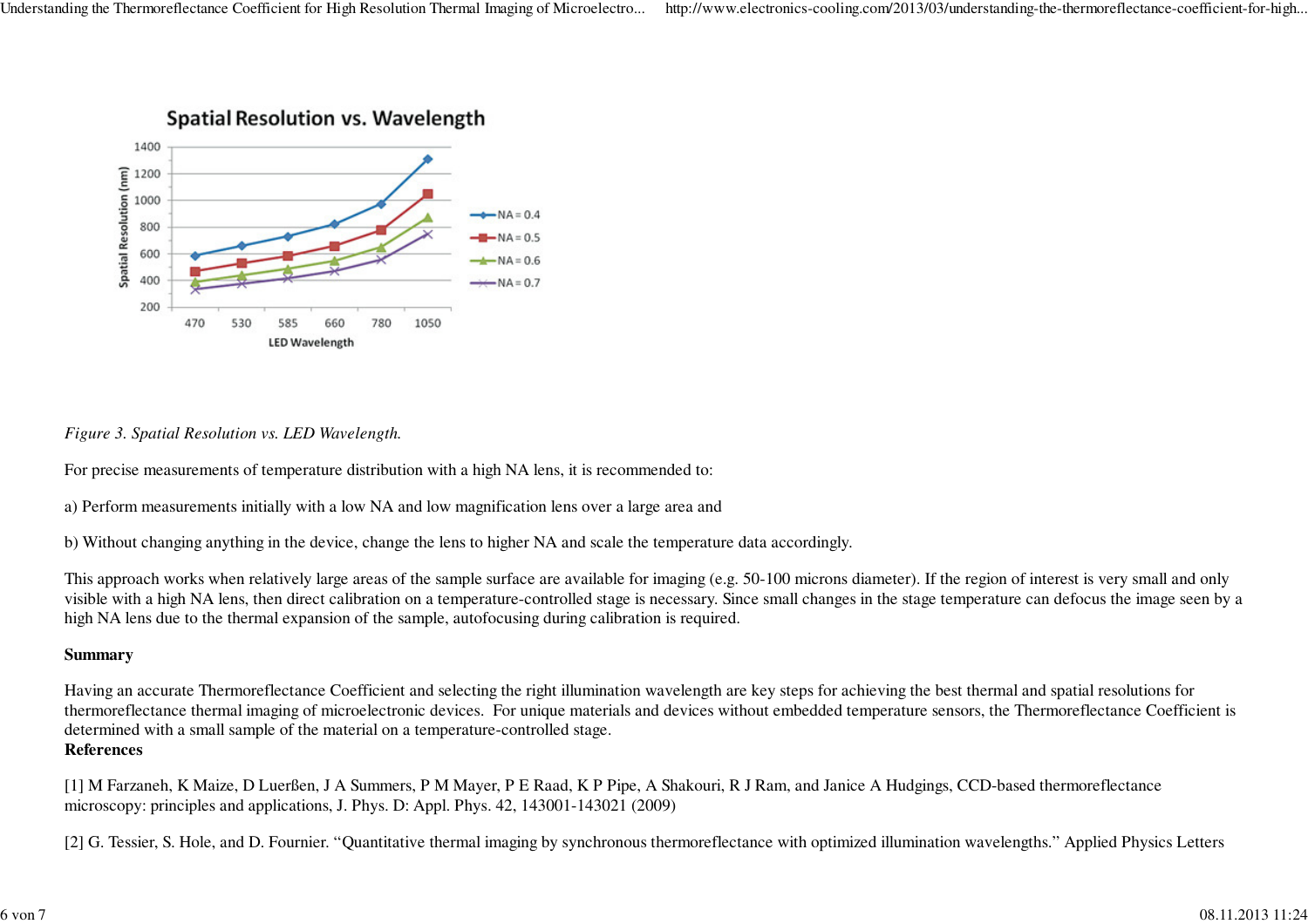

# **Spatial Resolution vs. Wavelength**

# *Figure 3. Spatial Resolution vs. LED Wavelength.*

For precise measurements of temperature distribution with a high NA lens, it is recommended to:

a) Perform measurements initially with a low NA and low magnification lens over a large area and

b) Without changing anything in the device, change the lens to higher NA and scale the temperature data accordingly.

This approach works when relatively large areas of the sample surface are available for imaging (e.g. 50-100 microns diameter). If the region of interest is very small and only visible with a high NA lens, then direct calibration on a temperature-controlled stage is necessary. Since small changes in the stage temperature can defocus the image seen by ahigh NA lens due to the thermal expansion of the sample, autofocusing during calibration is required.

# **Summary**

Having an accurate Thermoreflectance Coefficient and selecting the right illumination wavelength are key steps for achieving the best thermal and spatial resolutions for thermoreflectance thermal imaging of microelectronic devices. For unique materials and devices without embedded temperature sensors, the Thermoreflectance Coefficient isdetermined with a small sample of the material on a temperature-controlled stage.**References**

[1] M Farzaneh, K Maize, D Luerßen, J A Summers, P M Mayer, P E Raad, K P Pipe, A Shakouri, R J Ram, and Janice A Hudgings, CCD-based thermoreflectancemicroscopy: principles and applications, J. Phys. D: Appl. Phys. 42, 143001-143021 (2009)

[2] G. Tessier, S. Hole, and D. Fournier. "Quantitative thermal imaging by synchronous thermoreflectance with optimized illumination wavelengths." Applied Physics Letters